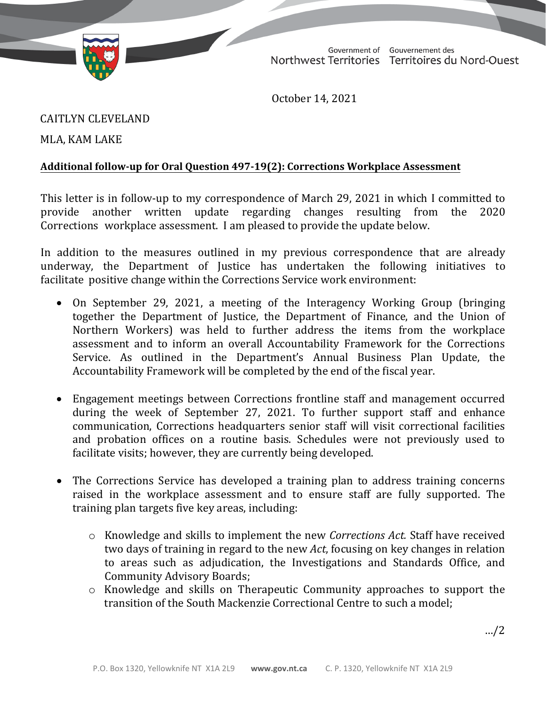

Government of Gouvernement des Northwest Territories Territoires du Nord-Ouest

October 14, 2021

CAITLYN CLEVELAND

MLA, KAM LAKE

## **Additional follow-up for Oral Question 497-19(2): Corrections Workplace Assessment**

This letter is in follow-up to my correspondence of March 29, 2021 in which I committed to rowide another written update regarding changes resulting from the 2020 provide another written update regarding changes resulting from Corrections workplace assessment. I am pleased to provide the update below.

In addition to the measures outlined in my previous correspondence that are already underway, the Department of Justice has undertaken the following initiatives to facilitate positive change within the Corrections Service work environment:

- On September 29, 2021, a meeting of the Interagency Working Group (bringing together the Department of Justice, the Department of Finance, and the Union of Northern Workers) was held to further address the items from the workplace assessment and to inform an overall Accountability Framework for the Corrections Service. As outlined in the Department's Annual Business Plan Update, the Accountability Framework will be completed by the end of the fiscal year.
- Engagement meetings between Corrections frontline staff and management occurred during the week of September 27, 2021. To further support staff and enhance communication, Corrections headquarters senior staff will visit correctional facilities and probation offices on a routine basis. Schedules were not previously used to facilitate visits; however, they are currently being developed.
- The Corrections Service has developed a training plan to address training concerns raised in the workplace assessment and to ensure staff are fully supported. The training plan targets five key areas, including:
	- o Knowledge and skills to implement the new *Corrections Act.* Staff have received two days of training in regard to the new *Act*, focusing on key changes in relation to areas such as adjudication, the Investigations and Standards Office, and Community Advisory Boards;
	- o Knowledge and skills on Therapeutic Community approaches to support the transition of the South Mackenzie Correctional Centre to such a model;

…/2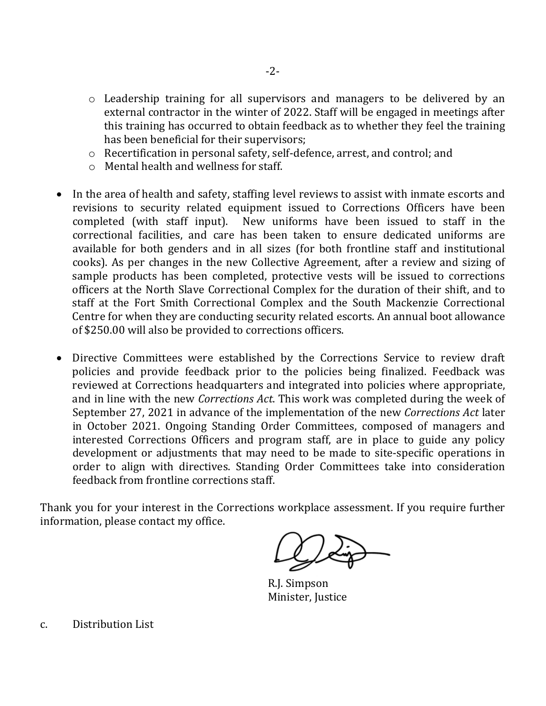- o Leadership training for all supervisors and managers to be delivered by an external contractor in the winter of 2022. Staff will be engaged in meetings after this training has occurred to obtain feedback as to whether they feel the training has been beneficial for their supervisors;
- o Recertification in personal safety, self-defence, arrest, and control; and
- o Mental health and wellness for staff.
- In the area of health and safety, staffing level reviews to assist with inmate escorts and revisions to security related equipment issued to Corrections Officers have been completed (with staff input). New uniforms have been issued to staff in the correctional facilities, and care has been taken to ensure dedicated uniforms are available for both genders and in all sizes (for both frontline staff and institutional cooks). As per changes in the new Collective Agreement, after a review and sizing of sample products has been completed, protective vests will be issued to corrections officers at the North Slave Correctional Complex for the duration of their shift, and to staff at the Fort Smith Correctional Complex and the South Mackenzie Correctional Centre for when they are conducting security related escorts. An annual boot allowance of \$250.00 will also be provided to corrections officers.
- Directive Committees were established by the Corrections Service to review draft policies and provide feedback prior to the policies being finalized. Feedback was reviewed at Corrections headquarters and integrated into policies where appropriate, and in line with the new *Corrections Act*. This work was completed during the week of September 27, 2021 in advance of the implementation of the new *Corrections Act* later in October 2021. Ongoing Standing Order Committees, composed of managers and interested Corrections Officers and program staff, are in place to guide any policy development or adjustments that may need to be made to site-specific operations in order to align with directives. Standing Order Committees take into consideration feedback from frontline corrections staff.

Thank you for your interest in the Corrections workplace assessment. If you require further information, please contact my office.

R.J. Simpson Minister, Justice

c. Distribution List